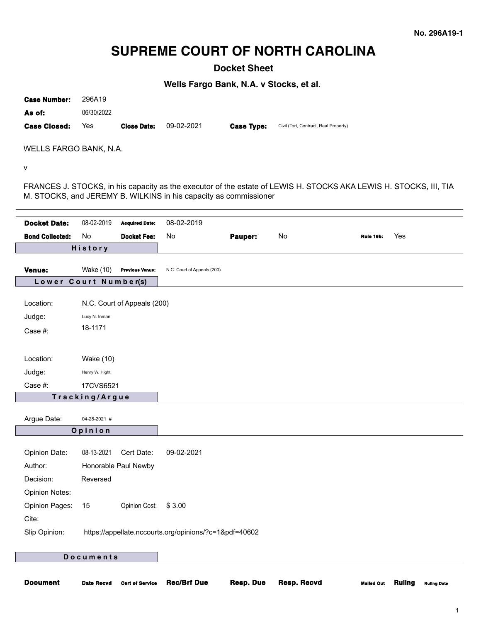# **SUPREME COURT OF NORTH CAROLINA**

**Docket Sheet**

**Wells Fargo Bank, N.A. v Stocks, et al.**

**Case Number:** 296A19 **As of:** 06/30/2022

**Case Closed:** Yes **Close Date:** 09-02-2021 **Case Type:** Civil (Tort, Contract, Real Property)

WELLS FARGO BANK, N.A.

v

FRANCES J. STOCKS, in his capacity as the executor of the estate of LEWIS H. STOCKS AKA LEWIS H. STOCKS, III, TIA M. STOCKS, and JEREMY B. WILKINS in his capacity as commissioner

| <b>Docket Date:</b>    | 08-02-2019              | <b>Acquired Date:</b>       | 08-02-2019                                             |         |    |           |     |
|------------------------|-------------------------|-----------------------------|--------------------------------------------------------|---------|----|-----------|-----|
| <b>Bond Collected:</b> | No                      | <b>Docket Fee:</b>          | No                                                     | Pauper: | No | Rule 16b: | Yes |
|                        | History                 |                             |                                                        |         |    |           |     |
| Venue:                 | <b>Wake (10)</b>        | <b>Previous Venue:</b>      | N.C. Court of Appeals (200)                            |         |    |           |     |
| Lower                  | Court Number(s)         |                             |                                                        |         |    |           |     |
|                        |                         |                             |                                                        |         |    |           |     |
| Location:              |                         | N.C. Court of Appeals (200) |                                                        |         |    |           |     |
| Judge:                 | Lucy N. Inman           |                             |                                                        |         |    |           |     |
| Case #:                | 18-1171                 |                             |                                                        |         |    |           |     |
|                        |                         |                             |                                                        |         |    |           |     |
| Location:              | Wake (10)               |                             |                                                        |         |    |           |     |
| Judge:                 | Henry W. Hight          |                             |                                                        |         |    |           |     |
| Case #:                | 17CVS6521               |                             |                                                        |         |    |           |     |
|                        | Tracking/Argue          |                             |                                                        |         |    |           |     |
|                        |                         |                             |                                                        |         |    |           |     |
| Argue Date:            | 04-28-2021 #<br>Opinion |                             |                                                        |         |    |           |     |
|                        |                         |                             |                                                        |         |    |           |     |
| Opinion Date:          | 08-13-2021              | Cert Date:                  | 09-02-2021                                             |         |    |           |     |
| Author:                |                         | Honorable Paul Newby        |                                                        |         |    |           |     |
| Decision:              | Reversed                |                             |                                                        |         |    |           |     |
| <b>Opinion Notes:</b>  |                         |                             |                                                        |         |    |           |     |
| <b>Opinion Pages:</b>  | 15                      | Opinion Cost:               | \$3.00                                                 |         |    |           |     |
| Cite:                  |                         |                             |                                                        |         |    |           |     |
| Slip Opinion:          |                         |                             | https://appellate.nccourts.org/opinions/?c=1&pdf=40602 |         |    |           |     |
|                        |                         |                             |                                                        |         |    |           |     |
|                        | <b>Documents</b>        |                             |                                                        |         |    |           |     |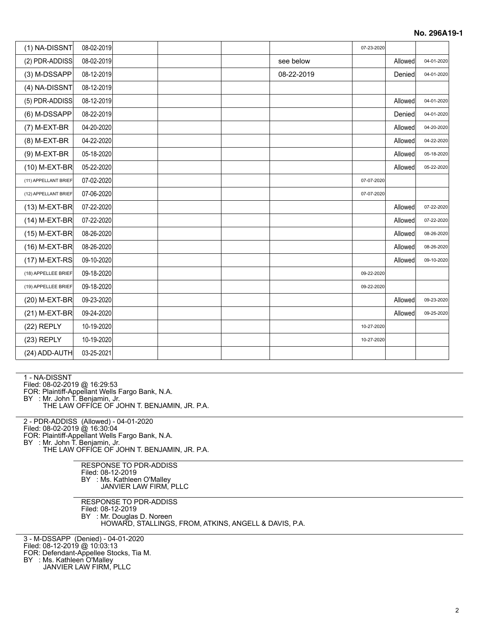| (1) NA-DISSNT        | 08-02-2019 |  |            | 07-23-2020 |         |            |
|----------------------|------------|--|------------|------------|---------|------------|
| (2) PDR-ADDISS       | 08-02-2019 |  | see below  |            | Allowed | 04-01-2020 |
| (3) M-DSSAPP         | 08-12-2019 |  | 08-22-2019 |            | Denied  | 04-01-2020 |
| (4) NA-DISSNT        | 08-12-2019 |  |            |            |         |            |
| (5) PDR-ADDISS       | 08-12-2019 |  |            |            | Allowed | 04-01-2020 |
| (6) M-DSSAPP         | 08-22-2019 |  |            |            | Denied  | 04-01-2020 |
| (7) M-EXT-BR         | 04-20-2020 |  |            |            | Allowed | 04-20-2020 |
| (8) M-EXT-BR         | 04-22-2020 |  |            |            | Allowed | 04-22-2020 |
| (9) M-EXT-BR         | 05-18-2020 |  |            |            | Allowed | 05-18-2020 |
| (10) M-EXT-BR        | 05-22-2020 |  |            |            | Allowed | 05-22-2020 |
| (11) APPELLANT BRIEF | 07-02-2020 |  |            | 07-07-2020 |         |            |
| (12) APPELLANT BRIEF | 07-06-2020 |  |            | 07-07-2020 |         |            |
| (13) M-EXT-BR        | 07-22-2020 |  |            |            | Allowed | 07-22-2020 |
| (14) M-EXT-BR        | 07-22-2020 |  |            |            | Allowed | 07-22-2020 |
| (15) M-EXT-BR        | 08-26-2020 |  |            |            | Allowed | 08-26-2020 |
| (16) M-EXT-BR        | 08-26-2020 |  |            |            | Allowed | 08-26-2020 |
| (17) M-EXT-RS        | 09-10-2020 |  |            |            | Allowed | 09-10-2020 |
| (18) APPELLEE BRIEF  | 09-18-2020 |  |            | 09-22-2020 |         |            |
| (19) APPELLEE BRIEF  | 09-18-2020 |  |            | 09-22-2020 |         |            |
| (20) M-EXT-BR        | 09-23-2020 |  |            |            | Allowed | 09-23-2020 |
| (21) M-EXT-BR        | 09-24-2020 |  |            |            | Allowed | 09-25-2020 |
| $(22)$ REPLY         | 10-19-2020 |  |            | 10-27-2020 |         |            |
| $(23)$ REPLY         | 10-19-2020 |  |            | 10-27-2020 |         |            |
| (24) ADD-AUTH        | 03-25-2021 |  |            |            |         |            |

1 - NA-DISSNT

Filed: 08-02-2019 @ 16:29:53

FOR: Plaintiff-Appellant Wells Fargo Bank, N.A.

BY : Mr. John T. Benjamin, Jr. THE LAW OFFICE OF JOHN T. BENJAMIN, JR. P.A.

2 - PDR-ADDISS (Allowed) - 04-01-2020

Filed: 08-02-2019 @ 16:30:04

FOR: Plaintiff-Appellant Wells Fargo Bank, N.A.

BY : Mr. John T. Benjamin, Jr.

THE LAW OFFICE OF JOHN T. BENJAMIN, JR. P.A.

RESPONSE TO PDR-ADDISS Filed: 08-12-2019 BY : Ms. Kathleen O'Malley JANVIER LAW FIRM, PLLC

RESPONSE TO PDR-ADDISS Filed: 08-12-2019 BY : Mr. Douglas D. Noreen HOWARD, STALLINGS, FROM, ATKINS, ANGELL & DAVIS, P.A.

3 - M-DSSAPP (Denied) - 04-01-2020

Filed: 08-12-2019 @ 10:03:13

FOR: Defendant-Appellee Stocks, Tia M.

BY : Ms. Kathleen O'Malley

JANVIER LAW FIRM, PLLC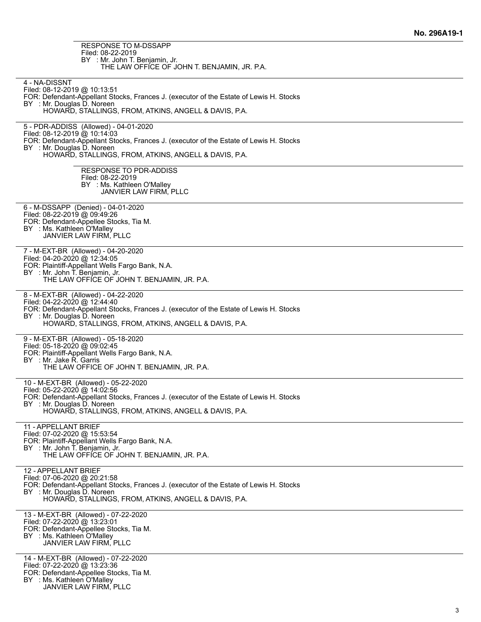| RESPONSE TO M-DSSAPP<br>Filed: 08-22-2019                                                                              |
|------------------------------------------------------------------------------------------------------------------------|
| BY : Mr. John T. Benjamin, Jr.                                                                                         |
| THE LAW OFFICE OF JOHN T. BENJAMIN, JR. P.A.                                                                           |
| 4 - NA-DISSNT                                                                                                          |
| Filed: 08-12-2019 @ 10:13:51<br>FOR: Defendant-Appellant Stocks, Frances J. (executor of the Estate of Lewis H. Stocks |
| BY : Mr. Douglas D. Noreen                                                                                             |
| HOWARD, STALLINGS, FROM, ATKINS, ANGELL & DAVIS, P.A.                                                                  |
| 5 - PDR-ADDISS (Allowed) - 04-01-2020                                                                                  |
| Filed: 08-12-2019 @ 10:14:03<br>FOR: Defendant-Appellant Stocks, Frances J. (executor of the Estate of Lewis H. Stocks |
| BY : Mr. Douglas D. Noreen                                                                                             |
| HOWARD, STALLINGS, FROM, ATKINS, ANGELL & DAVIS, P.A.                                                                  |
| <b>RESPONSE TO PDR-ADDISS</b>                                                                                          |
| Filed: 08-22-2019<br>BY : Ms. Kathleen O'Malley                                                                        |
| JANVIER LAW FIRM, PLLC                                                                                                 |
| 6 - M-DSSAPP (Denied) - 04-01-2020                                                                                     |
| Filed: 08-22-2019 @ 09:49:26                                                                                           |
| FOR: Defendant-Appellee Stocks, Tia M.<br>BY : Ms. Kathleen O'Malley                                                   |
| JANVIER LAW FIRM, PLLC                                                                                                 |
| 7 - M-EXT-BR (Allowed) - 04-20-2020                                                                                    |
| Filed: 04-20-2020 @ 12:34:05                                                                                           |
| FOR: Plaintiff-Appellant Wells Fargo Bank, N.A.<br>BY : Mr. John T. Benjamin, Jr.                                      |
| THE LAW OFFICE OF JOHN T. BENJAMIN, JR. P.A.                                                                           |
| 8 - M-EXT-BR (Allowed) - 04-22-2020                                                                                    |
| Filed: 04-22-2020 @ 12:44:40                                                                                           |
| FOR: Defendant-Appellant Stocks, Frances J. (executor of the Estate of Lewis H. Stocks<br>BY : Mr. Douglas D. Noreen   |
| HOWARD, STALLINGS, FROM, ATKINS, ANGELL & DAVIS, P.A.                                                                  |
| 9 - M-EXT-BR (Allowed) - 05-18-2020                                                                                    |
| Filed: 05-18-2020 @ 09:02:45<br>FOR: Plaintiff-Appellant Wells Fargo Bank, N.A.                                        |
| BY : Mr. Jake R. Garris                                                                                                |
| THE LAW OFFICE OF JOHN T. BENJAMIN, JR. P.A.                                                                           |
| 10 - M-EXT-BR (Allowed) - 05-22-2020                                                                                   |
| Filed: 05-22-2020 @ 14:02:56<br>FOR: Defendant-Appellant Stocks, Frances J. (executor of the Estate of Lewis H. Stocks |
| BY : Mr. Douglas D. Noreen                                                                                             |
| HOWARD, STALLINGS, FROM, ATKINS, ANGELL & DAVIS, P.A.                                                                  |
| 11 - APPELLANT BRIEF                                                                                                   |
| Filed: 07-02-2020 @ 15:53:54<br>FOR: Plaintiff-Appellant Wells Fargo Bank, N.A.                                        |
| BY : Mr. John T. Benjamin, Jr.                                                                                         |
| THE LAW OFFICE OF JOHN T. BENJAMIN, JR. P.A.                                                                           |
| 12 - APPELLANT BRIEF                                                                                                   |
| Filed: 07-06-2020 @ 20:21:58<br>FOR: Defendant-Appellant Stocks, Frances J. (executor of the Estate of Lewis H. Stocks |
| BY : Mr. Douglas D. Noreen<br>HOWARD, STALLINGS, FROM, ATKINS, ANGELL & DAVIS, P.A.                                    |
|                                                                                                                        |
| 13 - M-EXT-BR (Allowed) - 07-22-2020                                                                                   |
| Filed: 07-22-2020 @ 13:23:01<br>FOR: Defendant-Appellee Stocks, Tia M.                                                 |
| BY : Ms. Kathleen O'Malley<br>JANVIER LAW FIRM, PLLC                                                                   |
|                                                                                                                        |
| 14 - M-EXT-BR (Allowed) - 07-22-2020<br>Filed: 07-22-2020 @ 13:23:36                                                   |
| FOR: Defendant-Appellee Stocks, Tia M.                                                                                 |

BY : Ms. Kathleen O'Malley

JANVIER LAW FIRM, PLLC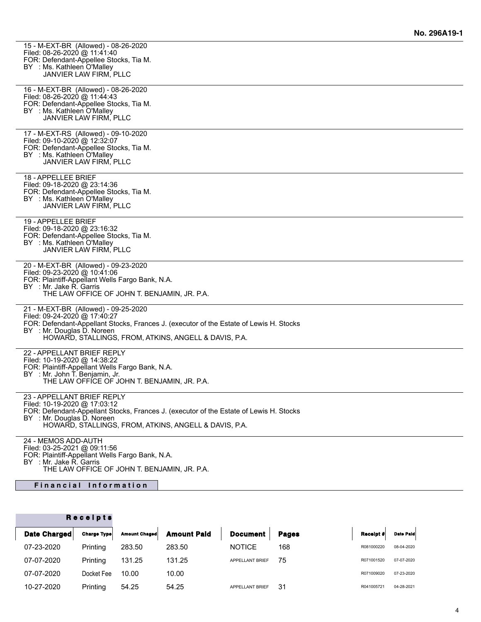| 15 - M-EXT-BR (Allowed) - 08-26-2020<br>Filed: 08-26-2020 @ 11:41:40<br>FOR: Defendant-Appellee Stocks, Tia M.<br>BY : Ms. Kathleen O'Malley<br>JANVIER LAW FIRM, PLLC                                                                                |  |
|-------------------------------------------------------------------------------------------------------------------------------------------------------------------------------------------------------------------------------------------------------|--|
| 16 - M-EXT-BR (Allowed) - 08-26-2020<br>Filed: 08-26-2020 @ 11:44:43<br>FOR: Defendant-Appellee Stocks, Tia M.<br>BY : Ms. Kathleen O'Malley<br>JANVIER LAW FIRM, PLLC                                                                                |  |
| 17 - M-EXT-RS (Allowed) - 09-10-2020<br>Filed: 09-10-2020 @ 12:32:07<br>FOR: Defendant-Appellee Stocks, Tia M.<br>BY : Ms. Kathleen O'Malley<br>JANVIER LAW FIRM, PLLC                                                                                |  |
| 18 - APPELLEE BRIEF<br>Filed: 09-18-2020 @ 23:14:36<br>FOR: Defendant-Appellee Stocks, Tia M.<br>BY : Ms. Kathleen O'Malley<br>JANVIER LAW FIRM, PLLC                                                                                                 |  |
| 19 - APPELLEE BRIEF<br>Filed: 09-18-2020 @ 23:16:32<br>FOR: Defendant-Appellee Stocks, Tia M.<br>BY : Ms. Kathleen O'Malley<br>JANVIER LAW FIRM, PLLC                                                                                                 |  |
| 20 - M-EXT-BR (Allowed) - 09-23-2020<br>Filed: 09-23-2020 @ 10:41:06<br>FOR: Plaintiff-Appellant Wells Fargo Bank, N.A.<br>BY : Mr. Jake R. Garris<br>THE LAW OFFICE OF JOHN T. BENJAMIN, JR. P.A.                                                    |  |
| 21 - M-EXT-BR (Allowed) - 09-25-2020<br>Filed: 09-24-2020 @ 17:40:27<br>FOR: Defendant-Appellant Stocks, Frances J. (executor of the Estate of Lewis H. Stocks<br>BY : Mr. Douglas D. Noreen<br>HOWARD, STALLINGS, FROM, ATKINS, ANGELL & DAVIS, P.A. |  |
| 22 - APPELLANT BRIEF REPLY<br>Filed: 10-19-2020 @ 14:38:22<br>FOR: Plaintiff-Appellant Wells Fargo Bank, N.A.<br>BY : Mr. John T. Benjamin, Jr.<br>THE LAW OFFICE OF JOHN T. BENJAMIN, JR. P.A.                                                       |  |
| 23 - APPELLANT BRIEF REPLY<br>Filed: 10-19-2020 @ 17:03:12<br>FOR: Defendant-Appellant Stocks, Frances J. (executor of the Estate of Lewis H. Stocks<br>BY : Mr. Douglas D. Noreen<br>HOWARD, STALLINGS, FROM, ATKINS, ANGELL & DAVIS, P.A.           |  |
| 24 - MEMOS ADD-AUTH<br>Filed: 03-25-2021 @ 09:11:56                                                                                                                                                                                                   |  |

FOR: Plaintiff-Appellant Wells Fargo Bank, N.A. BY : Mr. Jake R. Garris

THE LAW OFFICE OF JOHN T. BENJAMIN, JR. P.A.

# **Financial Information**

## **R e c e i p t s**

| Date Charged | <b>Charge Type</b> | <b>Amount Chaged</b> | <b>Amount Paid</b> | Document        | <b>Pages</b> | Receipt #  | <b>Date Paid</b> |
|--------------|--------------------|----------------------|--------------------|-----------------|--------------|------------|------------------|
| 07-23-2020   | Printing           | 283.50               | 283.50             | <b>NOTICE</b>   | 168          | R081000220 | 08-04-2020       |
| 07-07-2020   | Printing           | 131.25               | 131.25             | APPELLANT BRIEF | 75           | R071001520 | 07-07-2020       |
| 07-07-2020   | Docket Fee         | 10.00                | 10.00              |                 |              | R071009020 | 07-23-2020       |
| 10-27-2020   | Printing           | 54.25                | 54.25              | APPELLANT BRIEF | 31           | R041005721 | 04-28-2021       |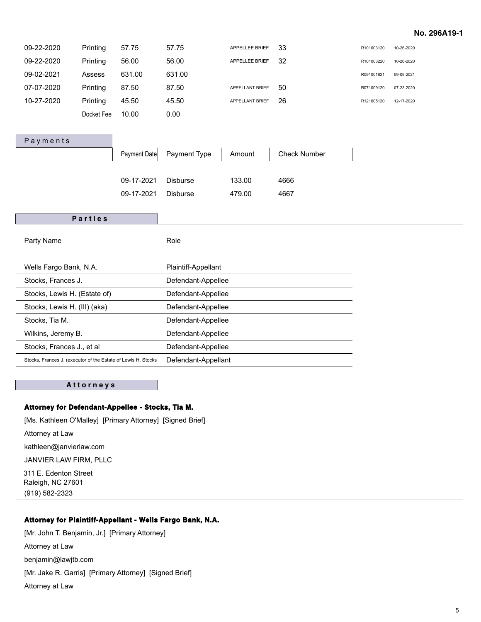#### **No. 296A19-1**

| 09-22-2020                                                    | Printing   | 57.75        | 57.75               | APPELLEE BRIEF  | 33                  | R101003120 | 10-26-2020 |
|---------------------------------------------------------------|------------|--------------|---------------------|-----------------|---------------------|------------|------------|
| 09-22-2020                                                    | Printing   | 56.00        | 56.00               | APPELLEE BRIEF  | 32                  | R101003220 | 10-26-2020 |
| 09-02-2021                                                    | Assess     | 631.00       | 631.00              |                 |                     | R091001821 | 09-09-2021 |
| 07-07-2020                                                    | Printing   | 87.50        | 87.50               | APPELLANT BRIEF | 50                  | R071009120 | 07-23-2020 |
| 10-27-2020                                                    | Printing   | 45.50        | 45.50               | APPELLANT BRIEF | 26                  | R121005120 | 12-17-2020 |
|                                                               | Docket Fee | 10.00        | 0.00                |                 |                     |            |            |
|                                                               |            |              |                     |                 |                     |            |            |
| Payments                                                      |            |              |                     |                 |                     |            |            |
|                                                               |            | Payment Date | Payment Type        | Amount          | <b>Check Number</b> |            |            |
|                                                               |            |              |                     |                 |                     |            |            |
|                                                               |            | 09-17-2021   | <b>Disburse</b>     | 133.00          | 4666                |            |            |
|                                                               |            | 09-17-2021   | <b>Disburse</b>     | 479.00          | 4667                |            |            |
|                                                               |            |              |                     |                 |                     |            |            |
|                                                               |            |              |                     |                 |                     |            |            |
|                                                               | Parties    |              |                     |                 |                     |            |            |
|                                                               |            |              |                     |                 |                     |            |            |
| Party Name                                                    |            |              | Role                |                 |                     |            |            |
| Wells Fargo Bank, N.A.                                        |            |              | Plaintiff-Appellant |                 |                     |            |            |
| Stocks, Frances J.                                            |            |              | Defendant-Appellee  |                 |                     |            |            |
| Stocks, Lewis H. (Estate of)                                  |            |              | Defendant-Appellee  |                 |                     |            |            |
| Stocks, Lewis H. (III) (aka)                                  |            |              | Defendant-Appellee  |                 |                     |            |            |
| Stocks, Tia M.                                                |            |              | Defendant-Appellee  |                 |                     |            |            |
| Wilkins, Jeremy B.                                            |            |              | Defendant-Appellee  |                 |                     |            |            |
| Stocks, Frances J., et al                                     |            |              | Defendant-Appellee  |                 |                     |            |            |
| Stocks, Frances J. (executor of the Estate of Lewis H. Stocks |            |              | Defendant-Appellant |                 |                     |            |            |

## **A t t o r n e y s**

#### **Attorney for Defendant-Appellee - Stocks, Tia M.**

[Ms. Kathleen O'Malley] [Primary Attorney] [Signed Brief]

Attorney at Law

kathleen@janvierlaw.com

JANVIER LAW FIRM, PLLC

311 E. Edenton Street Raleigh, NC 27601 (919) 582-2323

#### **Attorney for Plaintiff-Appellant - Wells Fargo Bank, N.A.**

[Mr. John T. Benjamin, Jr.] [Primary Attorney] Attorney at Law benjamin@lawjtb.com [Mr. Jake R. Garris] [Primary Attorney] [Signed Brief] Attorney at Law